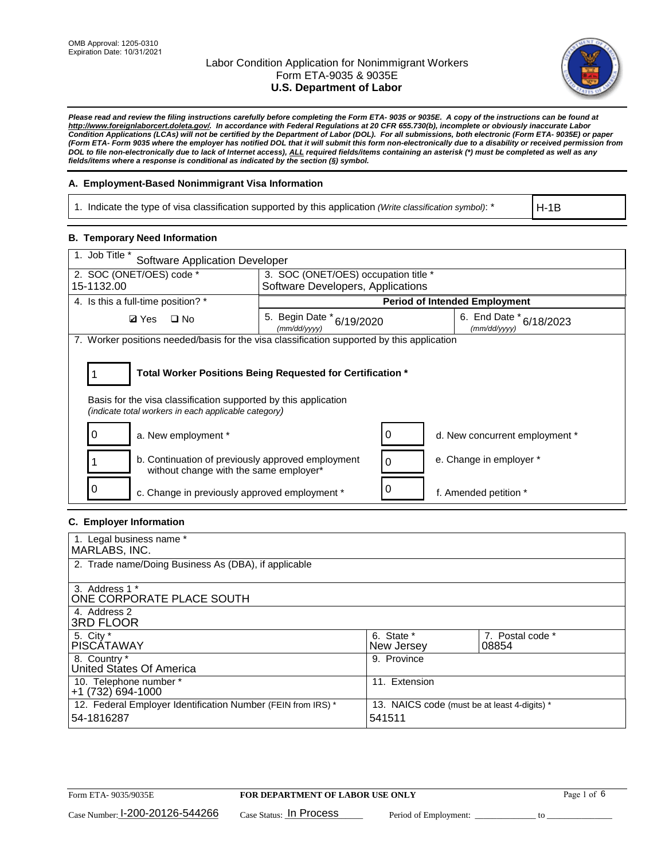

*Please read and review the filing instructions carefully before completing the Form ETA- 9035 or 9035E. A copy of the instructions can be found at [http://www.foreignlaborcert.doleta.gov/.](http://www.foreignlaborcert.doleta.gov/) In accordance with Federal Regulations at 20 CFR 655.730(b), incomplete or obviously inaccurate Labor Condition Applications (LCAs) will not be certified by the Department of Labor (DOL). For all submissions, both electronic (Form ETA- 9035E) or paper (Form ETA- Form 9035 where the employer has notified DOL that it will submit this form non-electronically due to a disability or received permission from DOL to file non-electronically due to lack of Internet access), ALL required fields/items containing an asterisk (\*) must be completed as well as any fields/items where a response is conditional as indicated by the section (§) symbol.* 

## **A. Employment-Based Nonimmigrant Visa Information**

1. Indicate the type of visa classification supported by this application *(Write classification symbol)*: \*

H-1B

#### **B. Temporary Need Information**

| 1. Job Title *<br><b>Software Application Developer</b>                                                                                                                               |                                           |   |                                             |  |  |  |
|---------------------------------------------------------------------------------------------------------------------------------------------------------------------------------------|-------------------------------------------|---|---------------------------------------------|--|--|--|
| 2. SOC (ONET/OES) code *                                                                                                                                                              | 3. SOC (ONET/OES) occupation title *      |   |                                             |  |  |  |
| 15-1132.00                                                                                                                                                                            | Software Developers, Applications         |   |                                             |  |  |  |
| 4. Is this a full-time position? *                                                                                                                                                    |                                           |   | <b>Period of Intended Employment</b>        |  |  |  |
| <b>Ø</b> Yes<br>$\square$ No                                                                                                                                                          | 5. Begin Date * 6/19/2020<br>(mm/dd/yyyy) |   | 6. End Date $*_{6/18/2023}$<br>(mm/dd/yyyy) |  |  |  |
| 7. Worker positions needed/basis for the visa classification supported by this application                                                                                            |                                           |   |                                             |  |  |  |
| Total Worker Positions Being Requested for Certification *<br>Basis for the visa classification supported by this application<br>(indicate total workers in each applicable category) |                                           |   |                                             |  |  |  |
| a. New employment *                                                                                                                                                                   |                                           | 0 | d. New concurrent employment *              |  |  |  |
| b. Continuation of previously approved employment<br>without change with the same employer*                                                                                           |                                           | 0 | e. Change in employer *                     |  |  |  |
| c. Change in previously approved employment *                                                                                                                                         |                                           | 0 | f. Amended petition *                       |  |  |  |

## **C. Employer Information**

| 1. Legal business name *                                     |                                              |                  |
|--------------------------------------------------------------|----------------------------------------------|------------------|
| MARLABS, INC.                                                |                                              |                  |
| 2. Trade name/Doing Business As (DBA), if applicable         |                                              |                  |
|                                                              |                                              |                  |
| 3. Address 1 *                                               |                                              |                  |
| ONE CORPORATE PLACE SOUTH                                    |                                              |                  |
| 4. Address 2                                                 |                                              |                  |
| <b>3RD FLOOR</b>                                             |                                              |                  |
| 5. City *                                                    | 6. State *                                   | 7. Postal code * |
| PISCÁTAWAY                                                   | New Jersey                                   | 08854            |
| 8. Country *                                                 | 9. Province                                  |                  |
| United States Of America                                     |                                              |                  |
| 10. Telephone number *                                       | 11. Extension                                |                  |
| +1 (732) 694-1000                                            |                                              |                  |
| 12. Federal Employer Identification Number (FEIN from IRS) * | 13. NAICS code (must be at least 4-digits) * |                  |
| 54-1816287                                                   | 541511                                       |                  |
|                                                              |                                              |                  |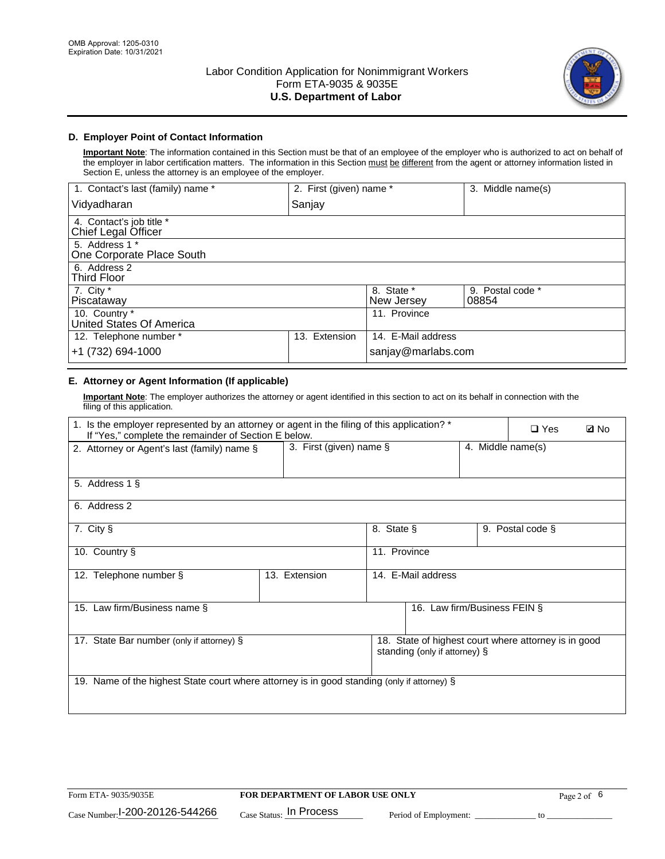

## **D. Employer Point of Contact Information**

**Important Note**: The information contained in this Section must be that of an employee of the employer who is authorized to act on behalf of the employer in labor certification matters. The information in this Section must be different from the agent or attorney information listed in Section E, unless the attorney is an employee of the employer.

| 1. Contact's last (family) name *               | 2. First (given) name * |                          | 3. Middle name(s)         |
|-------------------------------------------------|-------------------------|--------------------------|---------------------------|
| Vidyadharan                                     | Sanjay                  |                          |                           |
| 4. Contact's job title *<br>Chief Legal Officer |                         |                          |                           |
| 5. Address 1 *<br>One Corporate Place South     |                         |                          |                           |
| 6. Address 2<br><b>Third Floor</b>              |                         |                          |                           |
| 7. City $*$<br>Piscataway                       |                         | 8. State *<br>New Jersey | 9. Postal code *<br>08854 |
| 10. Country *<br>United States Of America       |                         | 11. Province             |                           |
| 12. Telephone number *                          | Extension<br>13.        | 14. E-Mail address       |                           |
| +1 (732) 694-1000                               |                         | sanjay@marlabs.com       |                           |

## **E. Attorney or Agent Information (If applicable)**

**Important Note**: The employer authorizes the attorney or agent identified in this section to act on its behalf in connection with the filing of this application.

| 1. Is the employer represented by an attorney or agent in the filing of this application? *<br>If "Yes," complete the remainder of Section E below. |                         |              |                               |                   | $\Box$ Yes                                           | <b>ØNo</b> |
|-----------------------------------------------------------------------------------------------------------------------------------------------------|-------------------------|--------------|-------------------------------|-------------------|------------------------------------------------------|------------|
| 2. Attorney or Agent's last (family) name §                                                                                                         | 3. First (given) name § |              |                               | 4. Middle name(s) |                                                      |            |
| 5. Address 1 §                                                                                                                                      |                         |              |                               |                   |                                                      |            |
| 6. Address 2                                                                                                                                        |                         |              |                               |                   |                                                      |            |
| 7. City §                                                                                                                                           |                         | 8. State §   |                               |                   | 9. Postal code §                                     |            |
| 10. Country §                                                                                                                                       |                         | 11. Province |                               |                   |                                                      |            |
| 12. Telephone number §                                                                                                                              | 13. Extension           |              | 14. E-Mail address            |                   |                                                      |            |
| 15. Law firm/Business name §                                                                                                                        |                         |              | 16. Law firm/Business FEIN §  |                   |                                                      |            |
| 17. State Bar number (only if attorney) §                                                                                                           |                         |              | standing (only if attorney) § |                   | 18. State of highest court where attorney is in good |            |
| 19. Name of the highest State court where attorney is in good standing (only if attorney) §                                                         |                         |              |                               |                   |                                                      |            |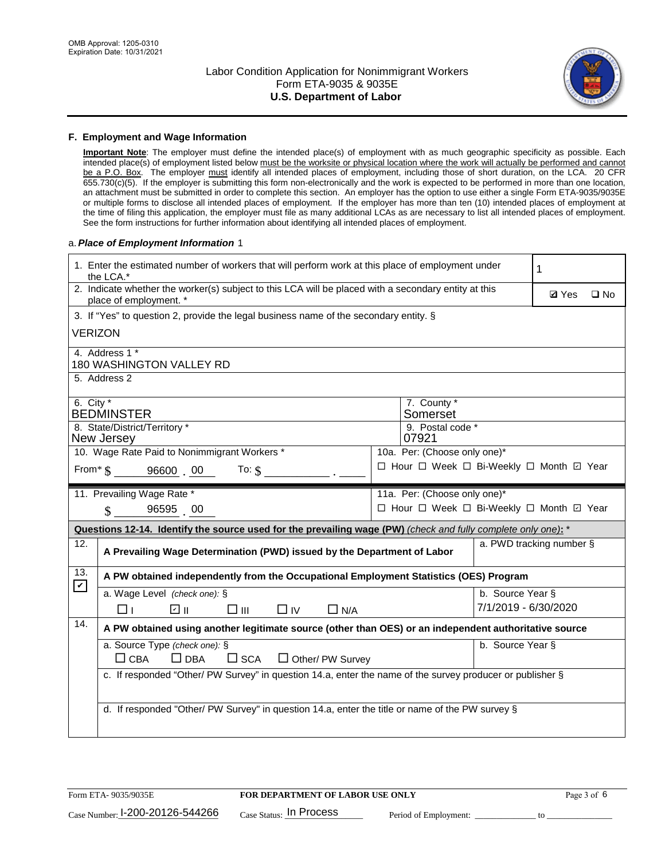

#### **F. Employment and Wage Information**

**Important Note**: The employer must define the intended place(s) of employment with as much geographic specificity as possible. Each intended place(s) of employment listed below must be the worksite or physical location where the work will actually be performed and cannot be a P.O. Box. The employer must identify all intended places of employment, including those of short duration, on the LCA. 20 CFR 655.730(c)(5). If the employer is submitting this form non-electronically and the work is expected to be performed in more than one location, an attachment must be submitted in order to complete this section. An employer has the option to use either a single Form ETA-9035/9035E or multiple forms to disclose all intended places of employment. If the employer has more than ten (10) intended places of employment at the time of filing this application, the employer must file as many additional LCAs as are necessary to list all intended places of employment. See the form instructions for further information about identifying all intended places of employment.

#### a.*Place of Employment Information* 1

|                                                                              | 1. Enter the estimated number of workers that will perform work at this place of employment under<br>the LCA.*                 |  | 1                                        |                      |                          |              |  |  |
|------------------------------------------------------------------------------|--------------------------------------------------------------------------------------------------------------------------------|--|------------------------------------------|----------------------|--------------------------|--------------|--|--|
|                                                                              | 2. Indicate whether the worker(s) subject to this LCA will be placed with a secondary entity at this<br>place of employment. * |  |                                          |                      | <b>Ø</b> Yes             | $\square$ No |  |  |
|                                                                              | 3. If "Yes" to question 2, provide the legal business name of the secondary entity. §                                          |  |                                          |                      |                          |              |  |  |
| VERIZON                                                                      |                                                                                                                                |  |                                          |                      |                          |              |  |  |
|                                                                              | 4. Address 1 *<br><b>180 WASHINGTON VALLEY RD</b>                                                                              |  |                                          |                      |                          |              |  |  |
|                                                                              | 5. Address 2                                                                                                                   |  |                                          |                      |                          |              |  |  |
|                                                                              | 6. City $*$<br>7. County *                                                                                                     |  |                                          |                      |                          |              |  |  |
|                                                                              | <b>BEDMINSTER</b>                                                                                                              |  | Somerset                                 |                      |                          |              |  |  |
|                                                                              | 8. State/District/Territory *<br>9. Postal code *<br>New Jersey<br>07921                                                       |  |                                          |                      |                          |              |  |  |
| 10. Wage Rate Paid to Nonimmigrant Workers *<br>10a. Per: (Choose only one)* |                                                                                                                                |  |                                          |                      |                          |              |  |  |
|                                                                              | □ Hour □ Week □ Bi-Weekly □ Month ☑ Year<br>From * \$ 96600 00<br>To: $\mathbf{\hat{s}}$                                       |  |                                          |                      |                          |              |  |  |
|                                                                              | 11a. Per: (Choose only one)*<br>11. Prevailing Wage Rate *                                                                     |  |                                          |                      |                          |              |  |  |
|                                                                              | 96595 00<br>$\mathcal{S}$                                                                                                      |  | □ Hour □ Week □ Bi-Weekly □ Month 回 Year |                      |                          |              |  |  |
|                                                                              | Questions 12-14. Identify the source used for the prevailing wage (PW) (check and fully complete only one): *                  |  |                                          |                      |                          |              |  |  |
| 12.                                                                          | A Prevailing Wage Determination (PWD) issued by the Department of Labor                                                        |  |                                          |                      | a. PWD tracking number § |              |  |  |
| 13.<br>$\boldsymbol{\mathcal{V}}$                                            | A PW obtained independently from the Occupational Employment Statistics (OES) Program                                          |  |                                          |                      |                          |              |  |  |
|                                                                              | a. Wage Level (check one): §                                                                                                   |  |                                          | b. Source Year §     |                          |              |  |  |
|                                                                              | பெ<br>$\square$ $\square$<br>⊓⊥<br>$\Box$ IV<br>$\Box$ N/A                                                                     |  |                                          | 7/1/2019 - 6/30/2020 |                          |              |  |  |
| 14.                                                                          | A PW obtained using another legitimate source (other than OES) or an independent authoritative source                          |  |                                          |                      |                          |              |  |  |
|                                                                              | a. Source Type (check one): §                                                                                                  |  |                                          | b. Source Year §     |                          |              |  |  |
|                                                                              | $\Box$ CBA<br>$\Box$ DBA<br>$\square$ SCA<br>$\Box$ Other/ PW Survey                                                           |  |                                          |                      |                          |              |  |  |
|                                                                              | c. If responded "Other/ PW Survey" in question 14.a, enter the name of the survey producer or publisher §                      |  |                                          |                      |                          |              |  |  |
|                                                                              | d. If responded "Other/ PW Survey" in question 14.a, enter the title or name of the PW survey §                                |  |                                          |                      |                          |              |  |  |
|                                                                              |                                                                                                                                |  |                                          |                      |                          |              |  |  |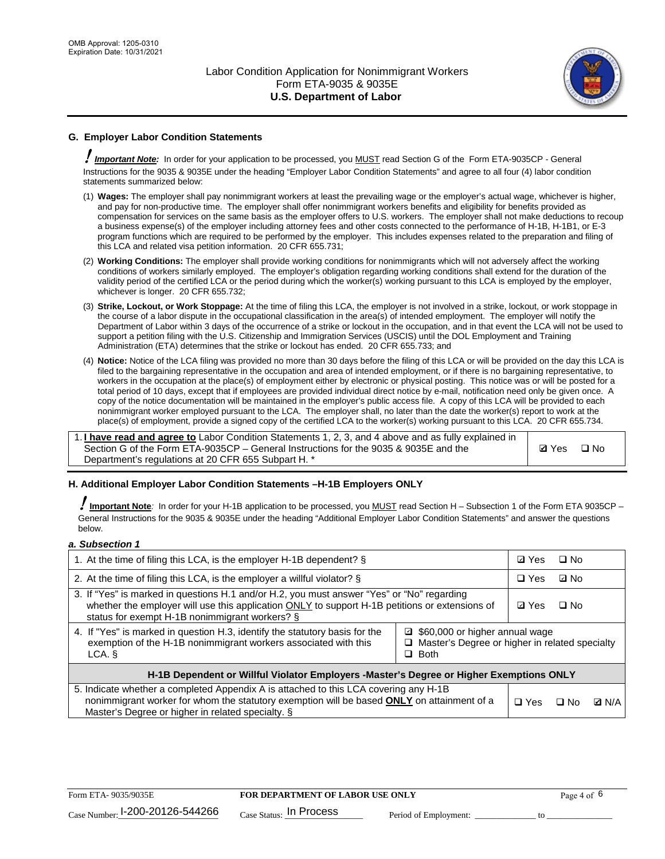

## **G. Employer Labor Condition Statements**

! *Important Note:* In order for your application to be processed, you MUST read Section G of the Form ETA-9035CP - General Instructions for the 9035 & 9035E under the heading "Employer Labor Condition Statements" and agree to all four (4) labor condition statements summarized below:

- (1) **Wages:** The employer shall pay nonimmigrant workers at least the prevailing wage or the employer's actual wage, whichever is higher, and pay for non-productive time. The employer shall offer nonimmigrant workers benefits and eligibility for benefits provided as compensation for services on the same basis as the employer offers to U.S. workers. The employer shall not make deductions to recoup a business expense(s) of the employer including attorney fees and other costs connected to the performance of H-1B, H-1B1, or E-3 program functions which are required to be performed by the employer. This includes expenses related to the preparation and filing of this LCA and related visa petition information. 20 CFR 655.731;
- (2) **Working Conditions:** The employer shall provide working conditions for nonimmigrants which will not adversely affect the working conditions of workers similarly employed. The employer's obligation regarding working conditions shall extend for the duration of the validity period of the certified LCA or the period during which the worker(s) working pursuant to this LCA is employed by the employer, whichever is longer. 20 CFR 655.732;
- (3) **Strike, Lockout, or Work Stoppage:** At the time of filing this LCA, the employer is not involved in a strike, lockout, or work stoppage in the course of a labor dispute in the occupational classification in the area(s) of intended employment. The employer will notify the Department of Labor within 3 days of the occurrence of a strike or lockout in the occupation, and in that event the LCA will not be used to support a petition filing with the U.S. Citizenship and Immigration Services (USCIS) until the DOL Employment and Training Administration (ETA) determines that the strike or lockout has ended. 20 CFR 655.733; and
- (4) **Notice:** Notice of the LCA filing was provided no more than 30 days before the filing of this LCA or will be provided on the day this LCA is filed to the bargaining representative in the occupation and area of intended employment, or if there is no bargaining representative, to workers in the occupation at the place(s) of employment either by electronic or physical posting. This notice was or will be posted for a total period of 10 days, except that if employees are provided individual direct notice by e-mail, notification need only be given once. A copy of the notice documentation will be maintained in the employer's public access file. A copy of this LCA will be provided to each nonimmigrant worker employed pursuant to the LCA. The employer shall, no later than the date the worker(s) report to work at the place(s) of employment, provide a signed copy of the certified LCA to the worker(s) working pursuant to this LCA. 20 CFR 655.734.

1. **I have read and agree to** Labor Condition Statements 1, 2, 3, and 4 above and as fully explained in Section G of the Form ETA-9035CP – General Instructions for the 9035 & 9035E and the Department's regulations at 20 CFR 655 Subpart H. \*

**Ø**Yes ロNo

#### **H. Additional Employer Labor Condition Statements –H-1B Employers ONLY**

!**Important Note***:* In order for your H-1B application to be processed, you MUST read Section H – Subsection 1 of the Form ETA 9035CP – General Instructions for the 9035 & 9035E under the heading "Additional Employer Labor Condition Statements" and answer the questions below.

#### *a. Subsection 1*

| 1. At the time of filing this LCA, is the employer H-1B dependent? §                                                                                                                                                                                            | ⊡ Yes | $\square$ No |           |              |
|-----------------------------------------------------------------------------------------------------------------------------------------------------------------------------------------------------------------------------------------------------------------|-------|--------------|-----------|--------------|
| 2. At the time of filing this LCA, is the employer a willful violator? $\S$                                                                                                                                                                                     |       | $\Box$ Yes   | ⊡ No      |              |
| 3. If "Yes" is marked in questions H.1 and/or H.2, you must answer "Yes" or "No" regarding<br>whether the employer will use this application ONLY to support H-1B petitions or extensions of<br>status for exempt H-1B nonimmigrant workers? §                  |       |              | $\Box$ No |              |
| 4. If "Yes" is marked in question H.3, identify the statutory basis for the<br>■ \$60,000 or higher annual wage<br>exemption of the H-1B nonimmigrant workers associated with this<br>□ Master's Degree or higher in related specialty<br>$\Box$ Both<br>LCA. § |       |              |           |              |
| H-1B Dependent or Willful Violator Employers -Master's Degree or Higher Exemptions ONLY                                                                                                                                                                         |       |              |           |              |
| 5. Indicate whether a completed Appendix A is attached to this LCA covering any H-1B<br>nonimmigrant worker for whom the statutory exemption will be based <b>ONLY</b> on attainment of a<br>Master's Degree or higher in related specialty. §                  |       |              | ⊡ No      | <b>Q</b> N/A |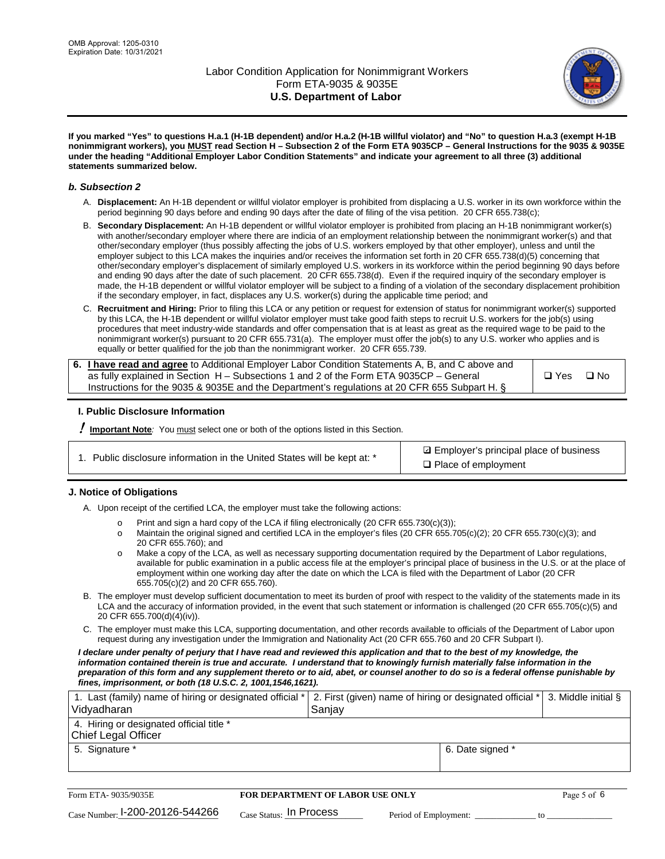

**If you marked "Yes" to questions H.a.1 (H-1B dependent) and/or H.a.2 (H-1B willful violator) and "No" to question H.a.3 (exempt H-1B nonimmigrant workers), you MUST read Section H – Subsection 2 of the Form ETA 9035CP – General Instructions for the 9035 & 9035E under the heading "Additional Employer Labor Condition Statements" and indicate your agreement to all three (3) additional statements summarized below.**

#### *b. Subsection 2*

- A. **Displacement:** An H-1B dependent or willful violator employer is prohibited from displacing a U.S. worker in its own workforce within the period beginning 90 days before and ending 90 days after the date of filing of the visa petition. 20 CFR 655.738(c);
- B. **Secondary Displacement:** An H-1B dependent or willful violator employer is prohibited from placing an H-1B nonimmigrant worker(s) with another/secondary employer where there are indicia of an employment relationship between the nonimmigrant worker(s) and that other/secondary employer (thus possibly affecting the jobs of U.S. workers employed by that other employer), unless and until the employer subject to this LCA makes the inquiries and/or receives the information set forth in 20 CFR 655.738(d)(5) concerning that other/secondary employer's displacement of similarly employed U.S. workers in its workforce within the period beginning 90 days before and ending 90 days after the date of such placement. 20 CFR 655.738(d). Even if the required inquiry of the secondary employer is made, the H-1B dependent or willful violator employer will be subject to a finding of a violation of the secondary displacement prohibition if the secondary employer, in fact, displaces any U.S. worker(s) during the applicable time period; and
- C. **Recruitment and Hiring:** Prior to filing this LCA or any petition or request for extension of status for nonimmigrant worker(s) supported by this LCA, the H-1B dependent or willful violator employer must take good faith steps to recruit U.S. workers for the job(s) using procedures that meet industry-wide standards and offer compensation that is at least as great as the required wage to be paid to the nonimmigrant worker(s) pursuant to 20 CFR 655.731(a). The employer must offer the job(s) to any U.S. worker who applies and is equally or better qualified for the job than the nonimmigrant worker. 20 CFR 655.739.

| 6. I have read and agree to Additional Employer Labor Condition Statements A, B, and C above and |       |           |
|--------------------------------------------------------------------------------------------------|-------|-----------|
| as fully explained in Section H – Subsections 1 and 2 of the Form ETA 9035CP – General           | □ Yes | $\Box$ No |
| Instructions for the 9035 & 9035E and the Department's regulations at 20 CFR 655 Subpart H. §    |       |           |

#### **I. Public Disclosure Information**

! **Important Note***:* You must select one or both of the options listed in this Section.

|  | 1. Public disclosure information in the United States will be kept at: * |  |  |  |
|--|--------------------------------------------------------------------------|--|--|--|
|  |                                                                          |  |  |  |

**sqrt** Employer's principal place of business □ Place of employment

#### **J. Notice of Obligations**

A. Upon receipt of the certified LCA, the employer must take the following actions:

- o Print and sign a hard copy of the LCA if filing electronically (20 CFR 655.730(c)(3));<br>
Maintain the original signed and certified LCA in the employer's files (20 CFR 655.7
- Maintain the original signed and certified LCA in the employer's files (20 CFR 655.705(c)(2); 20 CFR 655.730(c)(3); and 20 CFR 655.760); and
- o Make a copy of the LCA, as well as necessary supporting documentation required by the Department of Labor regulations, available for public examination in a public access file at the employer's principal place of business in the U.S. or at the place of employment within one working day after the date on which the LCA is filed with the Department of Labor (20 CFR 655.705(c)(2) and 20 CFR 655.760).
- B. The employer must develop sufficient documentation to meet its burden of proof with respect to the validity of the statements made in its LCA and the accuracy of information provided, in the event that such statement or information is challenged (20 CFR 655.705(c)(5) and 20 CFR 655.700(d)(4)(iv)).
- C. The employer must make this LCA, supporting documentation, and other records available to officials of the Department of Labor upon request during any investigation under the Immigration and Nationality Act (20 CFR 655.760 and 20 CFR Subpart I).

*I declare under penalty of perjury that I have read and reviewed this application and that to the best of my knowledge, the*  information contained therein is true and accurate. I understand that to knowingly furnish materially false information in the *preparation of this form and any supplement thereto or to aid, abet, or counsel another to do so is a federal offense punishable by fines, imprisonment, or both (18 U.S.C. 2, 1001,1546,1621).*

| 1. Last (family) name of hiring or designated official *   2. First (given) name of hiring or designated official *   3. Middle initial §<br>Vidyadharan | Saniav           |  |
|----------------------------------------------------------------------------------------------------------------------------------------------------------|------------------|--|
| 4. Hiring or designated official title *<br>Chief Legal Officer                                                                                          |                  |  |
| 5. Signature *                                                                                                                                           | 6. Date signed * |  |

| Form ETA-9035/9035E                         | <b>FOR DEPARTMENT OF LABOR USE ONLY</b> |                       |  | Page 5 of 6 |
|---------------------------------------------|-----------------------------------------|-----------------------|--|-------------|
| $_{\text{Case Number:}}$ I-200-20126-544266 | $_{Case\; Status:}$ In Process          | Period of Employment: |  |             |